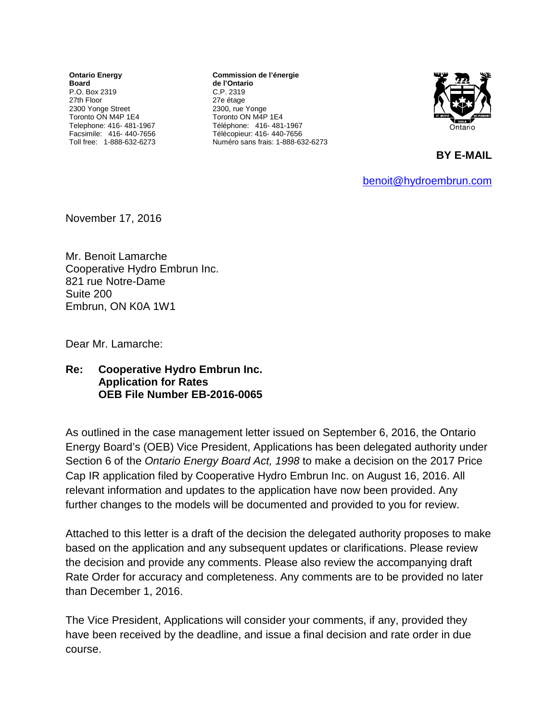**Ontario Energy Board** P.O. Box 2319 27th Floor 2300 Yonge Street Toronto ON M4P 1E4 Telephone: 416- 481-1967 Facsimile: 416- 440-7656 Toll free: 1-888-632-6273

**Commission de l'énergie de l'Ontario** C.P. 2319 27e étage 2300, rue Yonge Toronto ON M4P 1E4 Téléphone: 416- 481-1967 Télécopieur: 416- 440-7656 Numéro sans frais: 1-888-632-6273



**BY E-MAIL** 

[benoit@hydroembrun.com](mailto:benoit@hydroembrun.com)

November 17, 2016

Mr. Benoit Lamarche Cooperative Hydro Embrun Inc. 821 rue Notre-Dame Suite 200 Embrun, ON K0A 1W1

Dear Mr. Lamarche:

## **Re: Cooperative Hydro Embrun Inc. Application for Rates OEB File Number EB-2016-0065**

As outlined in the case management letter issued on September 6, 2016, the Ontario Energy Board's (OEB) Vice President, Applications has been delegated authority under Section 6 of the *Ontario Energy Board Act, 1998* to make a decision on the 2017 Price Cap IR application filed by Cooperative Hydro Embrun Inc. on August 16, 2016. All relevant information and updates to the application have now been provided. Any further changes to the models will be documented and provided to you for review.

Attached to this letter is a draft of the decision the delegated authority proposes to make based on the application and any subsequent updates or clarifications. Please review the decision and provide any comments. Please also review the accompanying draft Rate Order for accuracy and completeness. Any comments are to be provided no later than December 1, 2016.

The Vice President, Applications will consider your comments, if any, provided they have been received by the deadline, and issue a final decision and rate order in due course.